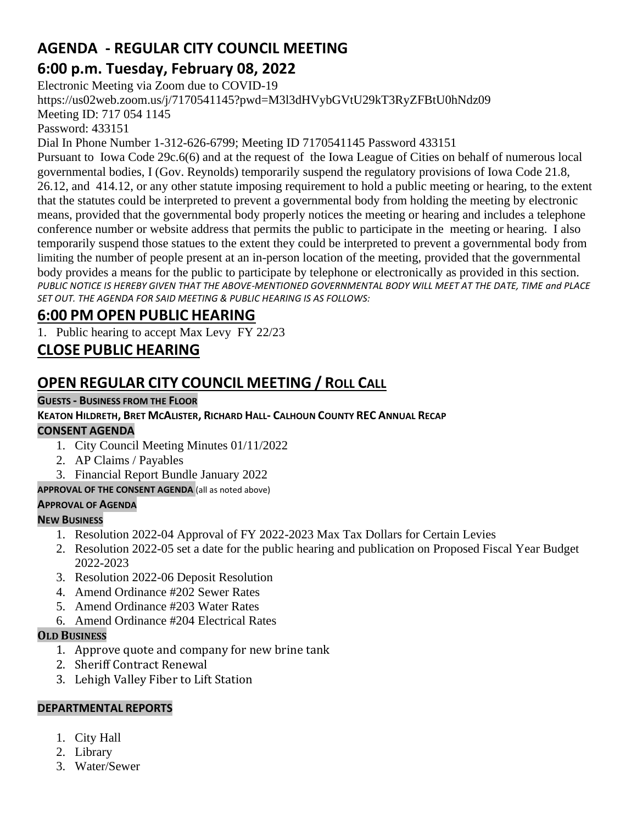## **AGENDA - REGULAR CITY COUNCIL MEETING 6:00 p.m. Tuesday, February 08, 2022**

Electronic Meeting via Zoom due to COVID-19

https://us02web.zoom.us/j/7170541145?pwd=M3l3dHVybGVtU29kT3RyZFBtU0hNdz09

Meeting ID: 717 054 1145

Password: 433151

Dial In Phone Number 1-312-626-6799; Meeting ID 7170541145 Password 433151

Pursuant to Iowa Code 29c.6(6) and at the request of the Iowa League of Cities on behalf of numerous local governmental bodies, I (Gov. Reynolds) temporarily suspend the regulatory provisions of Iowa Code 21.8, 26.12, and 414.12, or any other statute imposing requirement to hold a public meeting or hearing, to the extent that the statutes could be interpreted to prevent a governmental body from holding the meeting by electronic means, provided that the governmental body properly notices the meeting or hearing and includes a telephone conference number or website address that permits the public to participate in the meeting or hearing. I also temporarily suspend those statues to the extent they could be interpreted to prevent a governmental body from limiting the number of people present at an in-person location of the meeting, provided that the governmental body provides a means for the public to participate by telephone or electronically as provided in this section. *PUBLIC NOTICE IS HEREBY GIVEN THAT THE ABOVE-MENTIONED GOVERNMENTAL BODY WILL MEET AT THE DATE, TIME and PLACE SET OUT. THE AGENDA FOR SAID MEETING & PUBLIC HEARING IS AS FOLLOWS:*

# **6:00 PM OPEN PUBLIC HEARING**

1. Public hearing to accept Max Levy FY 22/23

# **CLOSE PUBLIC HEARING**

# **OPEN REGULAR CITY COUNCIL MEETING / ROLL CALL**

#### **GUESTS - BUSINESS FROM THE FLOOR**

#### KEATON HILDRETH, BRET MCALISTER, RICHARD HALL- CALHOUN COUNTY REC ANNUAL RECAP **CONSENT AGENDA**

- 1. City Council Meeting Minutes 01/11/2022
- 2. AP Claims / Payables
- 3. Financial Report Bundle January 2022

**APPROVAL OF THE CONSENT AGENDA** (all as noted above)

#### **APPROVAL OF AGENDA**

## **NEW BUSINESS**

- 1. Resolution 2022-04 Approval of FY 2022-2023 Max Tax Dollars for Certain Levies
- 2. Resolution 2022-05 set a date for the public hearing and publication on Proposed Fiscal Year Budget 2022-2023
- 3. Resolution 2022-06 Deposit Resolution
- 4. Amend Ordinance #202 Sewer Rates
- 5. Amend Ordinance #203 Water Rates
- 6. Amend Ordinance #204 Electrical Rates

## **OLD BUSINESS**

- 1. Approve quote and company for new brine tank
- 2. Sheriff Contract Renewal
- 3. Lehigh Valley Fiber to Lift Station

## **DEPARTMENTAL REPORTS**

- 1. City Hall
- 2. Library
- 3. Water/Sewer